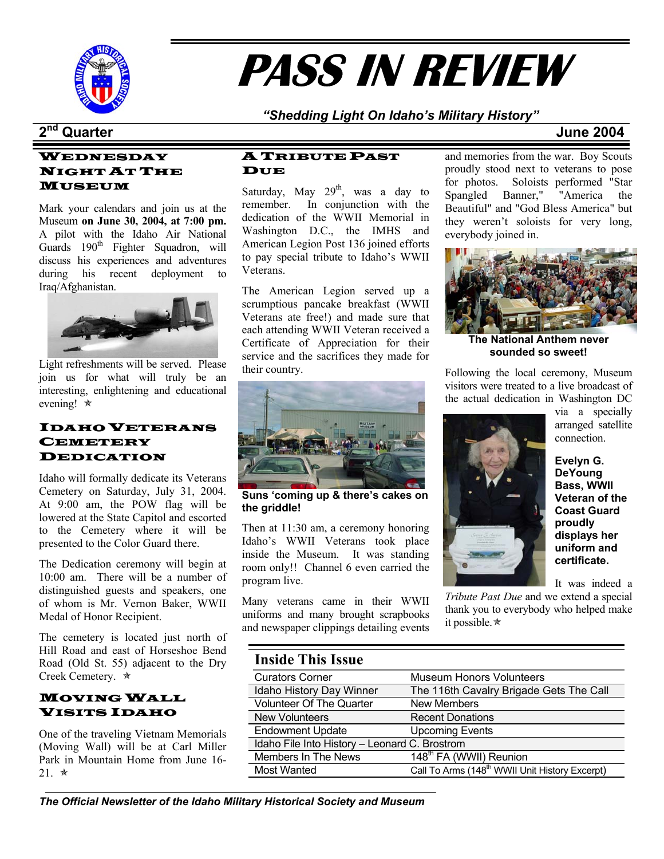

# **PASS IN REVIEW**

*"Shedding Light On Idaho's Military History"* 

## **2nd Quarter June 2004**

## WEDNESDAY NIGHT AT THE

Mark your calendars and join us at the Museum **on June 30, 2004, at 7:00 pm.** A pilot with the Idaho Air National Guards  $190<sup>th</sup>$  Fighter Squadron, will discuss his experiences and adventures during his recent deployment to Iraq/Afghanistan.



Light refreshments will be served. Please join us for what will truly be an interesting, enlightening and educational evening!  $*$ 

## IDAHO VETERANS **CEMETERY** DEDICATION

Idaho will formally dedicate its Veterans Cemetery on Saturday, July 31, 2004. At 9:00 am, the POW flag will be lowered at the State Capitol and escorted to the Cemetery where it will be presented to the Color Guard there.

The Dedication ceremony will begin at 10:00 am. There will be a number of distinguished guests and speakers, one of whom is Mr. Vernon Baker, WWII Medal of Honor Recipient.

The cemetery is located just north of Hill Road and east of Horseshoe Bend Road (Old St. 55) adjacent to the Dry Creek Cemetery.  $\star$ 

### MOVING WALL VISITS IDAHO

One of the traveling Vietnam Memorials (Moving Wall) will be at Carl Miller Park in Mountain Home from June 16-  $21 \times$ 

### A TRIBUTE PAST **DUE**

**MUSEUM** Saturday, May  $29<sup>th</sup>$ , was a day to remember. In conjunction with the dedication of the WWII Memorial in Washington D.C., the IMHS and American Legion Post 136 joined efforts to pay special tribute to Idaho's WWII Veterans.

> The American Legion served up a scrumptious pancake breakfast (WWII Veterans ate free!) and made sure that each attending WWII Veteran received a Certificate of Appreciation for their service and the sacrifices they made for their country.



**Suns 'coming up & there's cakes on the griddle!**

Then at 11:30 am, a ceremony honoring Idaho's WWII Veterans took place inside the Museum. It was standing room only!! Channel 6 even carried the program live.

Many veterans came in their WWII uniforms and many brought scrapbooks and newspaper clippings detailing events and memories from the war. Boy Scouts proudly stood next to veterans to pose for photos. Soloists performed "Star Spangled Banner," "America the Beautiful" and "God Bless America" but they weren't soloists for very long, everybody joined in.



**The National Anthem never sounded so sweet!** 

Following the local ceremony, Museum visitors were treated to a live broadcast of the actual dedication in Washington DC



via a specially arranged satellite connection.

**Evelyn G. DeYoung Bass, WWII Veteran of the Coast Guard proudly displays her uniform and certificate.** 

It was indeed a

*Tribute Past Due* and we extend a special thank you to everybody who helped make it possible. $\star$ 

## **Inside This Issue**

| пізіме тіпэ 1990е               |                                                            |  |  |  |  |
|---------------------------------|------------------------------------------------------------|--|--|--|--|
| <b>Curators Corner</b>          | <b>Museum Honors Volunteers</b>                            |  |  |  |  |
| Idaho History Day Winner        | The 116th Cavalry Brigade Gets The Call                    |  |  |  |  |
| <b>Volunteer Of The Quarter</b> | <b>New Members</b>                                         |  |  |  |  |
| <b>New Volunteers</b>           | <b>Recent Donations</b>                                    |  |  |  |  |
| <b>Endowment Update</b>         | <b>Upcoming Events</b>                                     |  |  |  |  |
|                                 | Idaho File Into History - Leonard C. Brostrom              |  |  |  |  |
| Members In The News             | 148 <sup>th</sup> FA (WWII) Reunion                        |  |  |  |  |
| <b>Most Wanted</b>              | Call To Arms (148 <sup>th</sup> WWII Unit History Excerpt) |  |  |  |  |
|                                 |                                                            |  |  |  |  |

*The Official Newsletter of the Idaho Military Historical Society and Museum*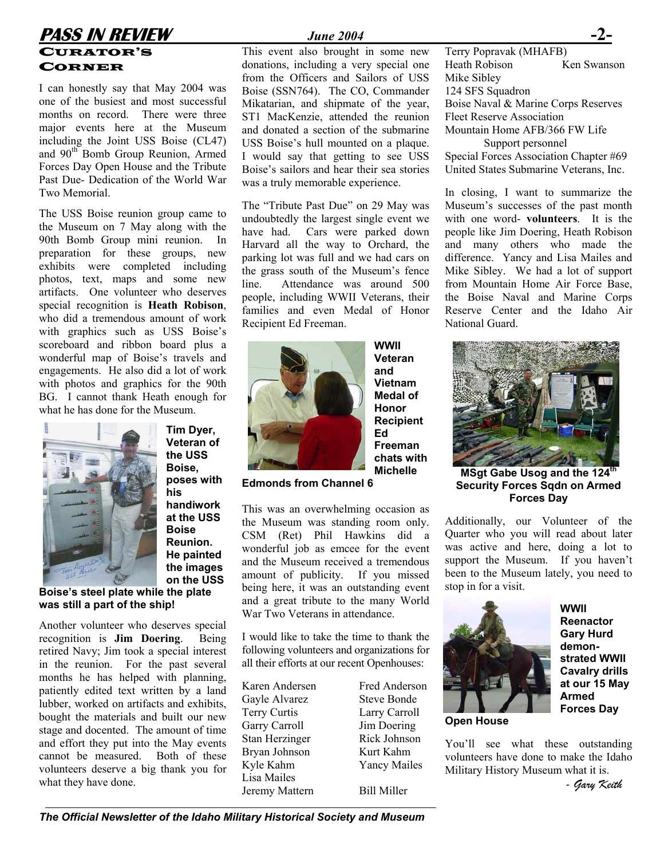## **PASS IN REVIEW** *June 2004* CURATOR'S

I can honestly say that May 2004 was one of the busiest and most successful months on record. There were three major events here at the Museum including the Joint USS Boise (CL47) and 90<sup>th</sup> Bomb Group Reunion, Armed Forces Day Open House and the Tribute Past Due- Dedication of the World War Two Memorial.

The USS Boise reunion group came to the Museum on 7 May along with the 90th Bomb Group mini reunion. In preparation for these groups, new exhibits were completed including photos, text, maps and some new artifacts. One volunteer who deserves special recognition is **Heath Robison**, who did a tremendous amount of work with graphics such as USS Boise's scoreboard and ribbon board plus a wonderful map of Boise's travels and engagements. He also did a lot of work with photos and graphics for the 90th BG. I cannot thank Heath enough for what he has done for the Museum.



**Veteran of the USS Boise, poses with his handiwork at the USS Boise Reunion. He painted the images on the USS** 

**Tim Dyer,** 

**Boise's steel plate while the plate was still a part of the ship!** 

Another volunteer who deserves special recognition is **Jim Doering**. Being retired Navy; Jim took a special interest in the reunion. For the past several months he has helped with planning, patiently edited text written by a land lubber, worked on artifacts and exhibits, bought the materials and built our new stage and docented. The amount of time and effort they put into the May events cannot be measured. Both of these volunteers deserve a big thank you for what they have done.

CORNER donations, including a very special one Heath Robison Ken Swanson from the Officers and Sailors of USS Boise (SSN764). The CO, Commander Mikatarian, and shipmate of the year, ST1 MacKenzie, attended the reunion and donated a section of the submarine USS Boise's hull mounted on a plaque. I would say that getting to see USS Boise's sailors and hear their sea stories was a truly memorable experience.

> The "Tribute Past Due" on 29 May was undoubtedly the largest single event we have had. Cars were parked down Harvard all the way to Orchard, the parking lot was full and we had cars on the grass south of the Museum's fence line. Attendance was around 500 people, including WWII Veterans, their families and even Medal of Honor Recipient Ed Freeman.



**WWII Veteran and Vietnam Medal of Honor Recipient Ed Freeman chats with Michelle** 

**Edmonds from Channel 6** 

This was an overwhelming occasion as the Museum was standing room only. CSM (Ret) Phil Hawkins did a wonderful job as emcee for the event and the Museum received a tremendous amount of publicity. If you missed being here, it was an outstanding event and a great tribute to the many World War Two Veterans in attendance.

I would like to take the time to thank the following volunteers and organizations for all their efforts at our recent Openhouses:

Karen Andersen Fred Anderson Gayle Alvarez Steve Bonde Terry Curtis Larry Carroll Garry Carroll Jim Doering Stan Herzinger Rick Johnson Bryan Johnson Kurt Kahm Kyle Kahm Yancy Mailes Lisa Mailes Jeremy Mattern Bill Miller

This event also brought in some new Terry Popravak (MHAFB) Mike Sibley 124 SFS Squadron Boise Naval & Marine Corps Reserves Fleet Reserve Association Mountain Home AFB/366 FW Life Support personnel Special Forces Association Chapter #69 United States Submarine Veterans, Inc.

> In closing, I want to summarize the Museum's successes of the past month with one word- **volunteers**. It is the people like Jim Doering, Heath Robison and many others who made the difference. Yancy and Lisa Mailes and Mike Sibley. We had a lot of support from Mountain Home Air Force Base, the Boise Naval and Marine Corps Reserve Center and the Idaho Air National Guard.



**MSgt Gabe Usog and the 124<sup>th</sup> Security Forces Sqdn on Armed Forces Day**

Additionally, our Volunteer of the Quarter who you will read about later was active and here, doing a lot to support the Museum. If you haven't been to the Museum lately, you need to stop in for a visit.



**WWII Reenactor Gary Hurd demonstrated WWII Cavalry drills at our 15 May Armed Forces Day**

**Open House** 

You'll see what these outstanding volunteers have done to make the Idaho Military History Museum what it is.

*- Gary Keith*

*The Official Newsletter of the Idaho Military Historical Society and Museum*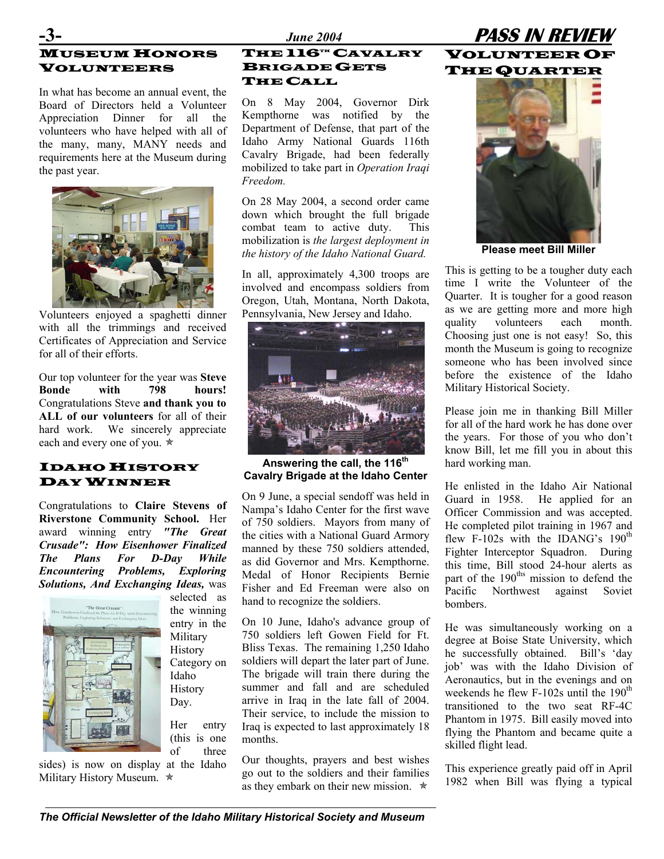## **MUSEUM HONORS** VOLUNTEERS

In what has become an annual event, the Board of Directors held a Volunteer Appreciation Dinner for all the volunteers who have helped with all of the many, many, MANY needs and requirements here at the Museum during the past year.



Volunteers enjoyed a spaghetti dinner Pennsylvania, New Jersey and Idaho. with all the trimmings and received Certificates of Appreciation and Service for all of their efforts.

Our top volunteer for the year was **Steve Bonde with 798 hours!** Congratulations Steve **and thank you to ALL of our volunteers** for all of their hard work. We sincerely appreciate each and every one of you.  $*$ 

## IDAHO HISTORY DAY WINNER Cavally brigade at the Idaho Genter<br>He enlisted in the Idaho Air National

Congratulations to **Claire Stevens of Riverstone Community School.** Her award winning entry *"The Great Crusade": How Eisenhower Finalized The Plans For D-Day While Encountering Problems, Exploring Solutions, And Exchanging Ideas,* was



the winning entry in the Military History Category on Idaho **History** Day.

selected as

Her entry (this is one of three

sides) is now on display at the Idaho Military History Museum.  $\star$ 

### THE 116<sup>TH</sup> CAVALRY BRIGADE GETS THE CALL

On 8 May 2004, Governor Dirk Kempthorne was notified by the Department of Defense, that part of the Idaho Army National Guards 116th Cavalry Brigade, had been federally mobilized to take part in *Operation Iraqi Freedom.* 

On 28 May 2004, a second order came down which brought the full brigade combat team to active duty. This mobilization is *the largest deployment in the history of the Idaho National Guard.* **Please meet Bill Miller** 

In all, approximately 4,300 troops are involved and encompass soldiers from Oregon, Utah, Montana, North Dakota,



Answering the call, the 116<sup>th</sup> hard working man. **Cavalry Brigade at the Idaho Center**

On 9 June, a special sendoff was held in Nampa's Idaho Center for the first wave of 750 soldiers. Mayors from many of the cities with a National Guard Armory manned by these 750 soldiers attended, as did Governor and Mrs. Kempthorne. Medal of Honor Recipients Bernie Fisher and Ed Freeman were also on hand to recognize the soldiers.

On 10 June, Idaho's advance group of 750 soldiers left Gowen Field for Ft. Bliss Texas. The remaining 1,250 Idaho soldiers will depart the later part of June. The brigade will train there during the summer and fall and are scheduled arrive in Iraq in the late fall of 2004. Their service, to include the mission to Iraq is expected to last approximately 18 months.

Our thoughts, prayers and best wishes go out to the soldiers and their families as they embark on their new mission.  $\star$ 





This is getting to be a tougher duty each time I write the Volunteer of the Quarter. It is tougher for a good reason as we are getting more and more high quality volunteers each month. Choosing just one is not easy! So, this month the Museum is going to recognize someone who has been involved since before the existence of the Idaho Military Historical Society.

Please join me in thanking Bill Miller for all of the hard work he has done over the years. For those of you who don't know Bill, let me fill you in about this

Guard in 1958. He applied for an Officer Commission and was accepted. He completed pilot training in 1967 and flew F-102s with the IDANG's 190<sup>th</sup> Fighter Interceptor Squadron. During this time, Bill stood 24-hour alerts as part of the 190<sup>ths</sup> mission to defend the Pacific Northwest against Soviet bombers.

He was simultaneously working on a degree at Boise State University, which he successfully obtained. Bill's 'day job' was with the Idaho Division of Aeronautics, but in the evenings and on weekends he flew  $F-102s$  until the  $190<sup>th</sup>$ transitioned to the two seat RF-4C Phantom in 1975. Bill easily moved into flying the Phantom and became quite a skilled flight lead.

This experience greatly paid off in April 1982 when Bill was flying a typical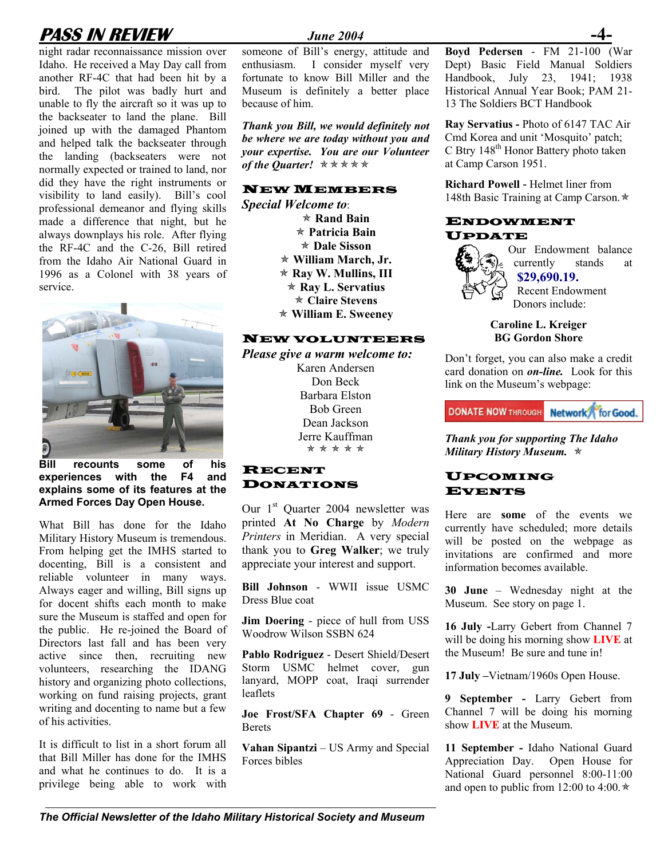## **PASS IN REVIEW** *June 2004*

night radar reconnaissance mission over Idaho. He received a May Day call from another RF-4C that had been hit by a bird. The pilot was badly hurt and unable to fly the aircraft so it was up to the backseater to land the plane. Bill joined up with the damaged Phantom and helped talk the backseater through the landing (backseaters were not normally expected or trained to land, nor did they have the right instruments or visibility to land easily). Bill's cool professional demeanor and flying skills made a difference that night, but he always downplays his role. After flying the RF-4C and the C-26, Bill retired from the Idaho Air National Guard in 1996 as a Colonel with 38 years of service.



**Bill recounts some of his experiences with the F4 and explains some of its features at the Armed Forces Day Open House.** 

What Bill has done for the Idaho Military History Museum is tremendous. From helping get the IMHS started to docenting, Bill is a consistent and reliable volunteer in many ways. Always eager and willing, Bill signs up for docent shifts each month to make sure the Museum is staffed and open for the public. He re-joined the Board of Directors last fall and has been very active since then, recruiting new volunteers, researching the IDANG history and organizing photo collections, working on fund raising projects, grant writing and docenting to name but a few of his activities.

It is difficult to list in a short forum all that Bill Miller has done for the IMHS and what he continues to do. It is a privilege being able to work with

someone of Bill's energy, attitude and enthusiasm. I consider myself very fortunate to know Bill Miller and the Museum is definitely a better place because of him.

*Thank you Bill, we would definitely not be where we are today without you and your expertise. You are our Volunteer of the Quarter!* **★**★★★★

*Special Welcome to*: \* Patricia Bain<br>
\* Dale Sisson<br> **Algeria Algeria Patricia Patricia Patricia Patricia Patricia Patricia Patricia Patricia Patricia Patricia Patricia** Õ **William March, Jr.**  Õ **Ray W. Mullins, III**  Õ **William E. Sweeney**

### NEW VOLUNTEERS **BG Gordon Shore**

*Please give a warm welcome to:* Don't forget, you can also make a credit Karen Andersen Don Beck Barbara Elston Bob Green Dean Jackson

### RECENT DONATIONS

Our 1<sup>st</sup> Quarter 2004 newsletter was printed **At No Charge** by *Modern Printers* in Meridian. A very special thank you to **Greg Walker**; we truly appreciate your interest and support.

**Bill Johnson** - WWII issue USMC Dress Blue coat

**Jim Doering** - piece of hull from USS

Pablo Rodriguez - Desert Shield/Desert the Museum! Be sure and tune in! Storm USMC helmet cover, gun lanyard, MOPP coat, Iraqi surrender leaflets

**Show Example 18 IVE** at the Museum.<br>**Berets Joe Frost**/SFA Chapter 69 - Green Channel 7 will be doing a Berets Berets

**Vahan Sipantzi** – US Army and Special Forces bibles

**Boyd Pedersen** - FM 21-100 (War Dept) Basic Field Manual Soldiers Handbook, July 23, 1941; 1938 Historical Annual Year Book; PAM 21- 13 The Soldiers BCT Handbook

**Ray Servatius -** Photo of 6147 TAC Air Cmd Korea and unit 'Mosquito' patch; C Btry 148<sup>th</sup> Honor Battery photo taken at Camp Carson 1951.

**NEW MEMBERS** Richard Powell - Helmet liner from 148th Basic Training at Camp Carson. $\star$ 

## Õ **Rand Bain** ENDOWMENT

Our Endowment balance currently stands at **\$29,690.19.** \* Ray L. Servatius<br>
\* Claire Stevens<br>
Recent Endowment Donors include:

**Caroline L. Kreiger** 

card donation on *on-line.* Look for this link on the Museum's webpage:

**DONATE NOW THROUGH Network for Good.** 

Jerre Kauffman *Thank you for supporting The Idaho Military History Museum.*  $\star$ 

### UPCOMING EVENTS

Here are **some** of the events we currently have scheduled; more details will be posted on the webpage as invitations are confirmed and more information becomes available.

**30 June** – Wednesday night at the Museum. See story on page 1.

**16 July -Larry Gebert from Channel 7**<br>Woodrow Wilson SSBN 624 will be doing his morning show **LIVE** at

**17 July –**Vietnam/1960s Open House.

**9 September -** Larry Gebert from Channel 7 will be doing his morning

**11 September -** Idaho National Guard Appreciation Day. Open House for National Guard personnel 8:00-11:00 and open to public from 12:00 to 4:00. $\star$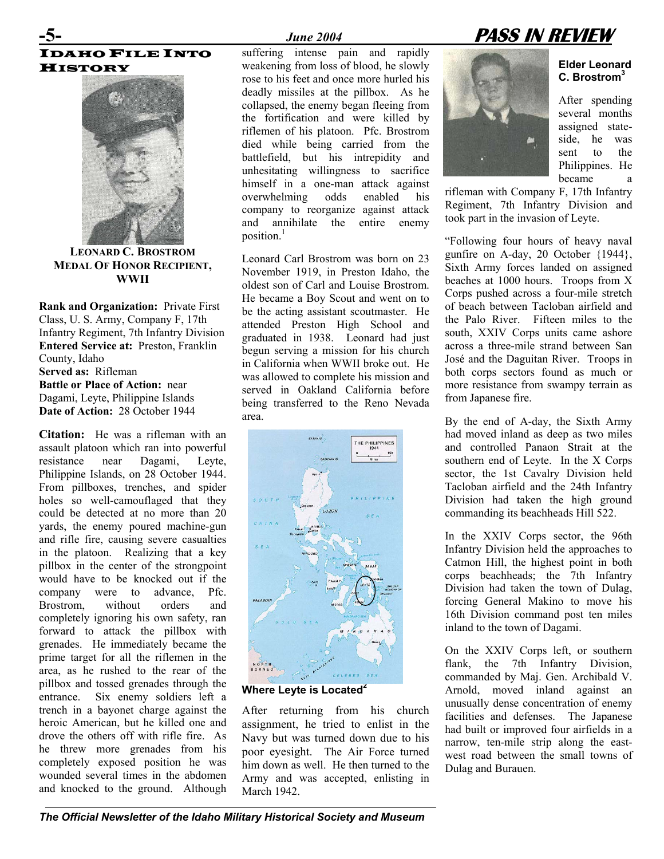## IDAHO FILE INTO **HISTORY**



**LEONARD C. BROSTROM MEDAL OF HONOR RECIPIENT, WWII** 

**Rank and Organization:** Private First Class, U. S. Army, Company F, 17th Infantry Regiment, 7th Infantry Division **Entered Service at:** Preston, Franklin County, Idaho **Served as:** Rifleman **Battle or Place of Action:** near Dagami, Leyte, Philippine Islands **Date of Action:** 28 October 1944

**Citation:** He was a rifleman with an assault platoon which ran into powerful resistance near Dagami, Leyte, Philippine Islands, on 28 October 1944. From pillboxes, trenches, and spider holes so well-camouflaged that they could be detected at no more than 20 yards, the enemy poured machine-gun and rifle fire, causing severe casualties in the platoon. Realizing that a key pillbox in the center of the strongpoint would have to be knocked out if the company were to advance, Pfc. Brostrom, without orders and completely ignoring his own safety, ran forward to attack the pillbox with grenades. He immediately became the prime target for all the riflemen in the area, as he rushed to the rear of the pillbox and tossed grenades through the entrance. Six enemy soldiers left a trench in a bayonet charge against the heroic American, but he killed one and drove the others off with rifle fire. As he threw more grenades from his completely exposed position he was wounded several times in the abdomen and knocked to the ground. Although

suffering intense pain and rapidly weakening from loss of blood, he slowly rose to his feet and once more hurled his deadly missiles at the pillbox. As he collapsed, the enemy began fleeing from the fortification and were killed by riflemen of his platoon. Pfc. Brostrom died while being carried from the battlefield, but his intrepidity and unhesitating willingness to sacrifice himself in a one-man attack against<br>overwhelming odds enabled his overwhelming odds enabled his company to reorganize against attack and annihilate the entire enemy position. [1](#page--1-0)

Leonard Carl Brostrom was born on 23 November 1919, in Preston Idaho, the oldest son of Carl and Louise Brostrom. He became a Boy Scout and went on to be the acting assistant scoutmaster. He attended Preston High School and graduated in 1938. Leonard had just begun serving a mission for his church in California when WWII broke out. He was allowed to complete his mission and served in Oakland California before being transferred to the Reno Nevada area. By the end of A-day, the Sixth Army



**Where Leyte is Located[2](#page--1-1)**

After returning from his church assignment, he tried to enlist in the Navy but was turned down due to his poor eyesight. The Air Force turned him down as well. He then turned to the Army and was accepted, enlisting in March 1942.



**Elder Leonard C. Brostro[m3](#page--1-2)**

After spending several months assigned stateside, he was sent to the Philippines. He became a

rifleman with Company F, 17th Infantry Regiment, 7th Infantry Division and took part in the invasion of Leyte.

"Following four hours of heavy naval gunfire on A-day, 20 October {1944}, Sixth Army forces landed on assigned beaches at 1000 hours. Troops from X Corps pushed across a four-mile stretch of beach between Tacloban airfield and the Palo River. Fifteen miles to the south, XXIV Corps units came ashore across a three-mile strand between San José and the Daguitan River. Troops in both corps sectors found as much or more resistance from swampy terrain as from Japanese fire.

had moved inland as deep as two miles and controlled Panaon Strait at the southern end of Leyte. In the X Corps sector, the 1st Cavalry Division held Tacloban airfield and the 24th Infantry Division had taken the high ground commanding its beachheads Hill 522.

In the XXIV Corps sector, the 96th Infantry Division held the approaches to Catmon Hill, the highest point in both corps beachheads; the 7th Infantry Division had taken the town of Dulag, forcing General Makino to move his 16th Division command post ten miles inland to the town of Dagami.

On the XXIV Corps left, or southern flank, the 7th Infantry Division, commanded by Maj. Gen. Archibald V. Arnold, moved inland against an unusually dense concentration of enemy facilities and defenses. The Japanese had built or improved four airfields in a narrow, ten-mile strip along the eastwest road between the small towns of Dulag and Burauen.

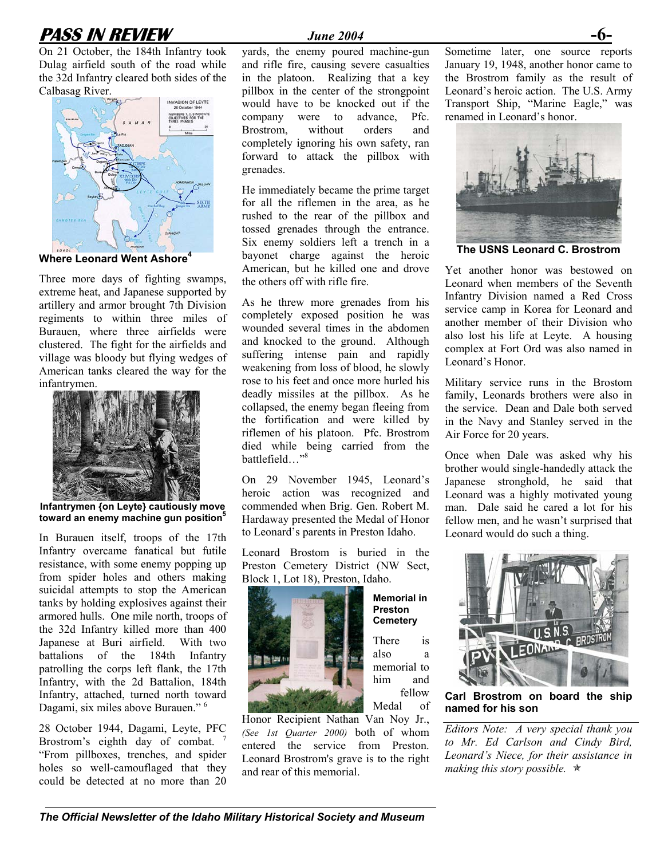## **PASS IN REVIEW** *June 2004* **-6-**

On 21 October, the 184th Infantry took Dulag airfield south of the road while the 32d Infantry cleared both sides of the Calbasag River.



**Where Leonard Went Ashor[e4](#page--1-3)**

Three more days of fighting swamps, extreme heat, and Japanese supported by artillery and armor brought 7th Division regiments to within three miles of Burauen, where three airfields were clustered. The fight for the airfields and village was bloody but flying wedges of American tanks cleared the way for the infantrymen.



**Infantrymen {on Leyte} cautiously move toward an enemy machine gun positio[n5](#page--1-4)**

In Burauen itself, troops of the 17th Infantry overcame fanatical but futile resistance, with some enemy popping up from spider holes and others making suicidal attempts to stop the American tanks by holding explosives against their armored hulls. One mile north, troops of the 32d Infantry killed more than 400 Japanese at Buri airfield. With two battalions of the 184th Infantry patrolling the corps left flank, the 17th Infantry, with the 2d Battalion, 184th Infantry, attached, turned north toward Dagami, six miles above Burauen." [6](#page--1-5) 

28 October 1944, Dagami, Leyte, PFC Brostrom's eighth day of combat. "From pillboxes, trenches, and spider holes so well-camouflaged that they could be detected at no more than 20

yards, the enemy poured machine-gun and rifle fire, causing severe casualties in the platoon. Realizing that a key pillbox in the center of the strongpoint would have to be knocked out if the company were to advance, Pfc. Brostrom, without orders and completely ignoring his own safety, ran forward to attack the pillbox with grenades.

He immediately became the prime target for all the riflemen in the area, as he rushed to the rear of the pillbox and tossed grenades through the entrance. Six enemy soldiers left a trench in a bayonet charge against the heroic American, but he killed one and drove the others off with rifle fire.

As he threw more grenades from his completely exposed position he was wounded several times in the abdomen and knocked to the ground. Although suffering intense pain and rapidly weakening from loss of blood, he slowly rose to his feet and once more hurled his deadly missiles at the pillbox. As he collapsed, the enemy began fleeing from the fortification and were killed by riflemen of his platoon. Pfc. Brostrom died while being carried from the battlefield…"[8](#page--1-7) 

On 29 November 1945, Leonard's heroic action was recognized and commended when Brig. Gen. Robert M. Hardaway presented the Medal of Honor to Leonard's parents in Preston Idaho.

Leonard Brostom is buried in the Preston Cemetery District (NW Sect, Block 1, Lot 18), Preston, Idaho.

> **Memorial in Preston Cemetery** There is also a memorial to him and fellow Medal of



Honor Recipient Nathan Van Noy Jr., *(See 1st Quarter 2000)* both of whom entered the service from Preston. Leonard Brostrom's grave is to the right and rear of this memorial.

Sometime later, one source reports January 19, 1948, another honor came to the Brostrom family as the result of Leonard's heroic action. The U.S. Army Transport Ship, "Marine Eagle," was renamed in Leonard's honor.



**The USNS Leonard C. Brostrom** 

Yet another honor was bestowed on Leonard when members of the Seventh Infantry Division named a Red Cross service camp in Korea for Leonard and another member of their Division who also lost his life at Leyte. A housing complex at Fort Ord was also named in Leonard's Honor.

Military service runs in the Brostom family, Leonards brothers were also in the service. Dean and Dale both served in the Navy and Stanley served in the Air Force for 20 years.

Once when Dale was asked why his brother would single-handedly attack the Japanese stronghold, he said that Leonard was a highly motivated young man. Dale said he cared a lot for his fellow men, and he wasn't surprised that Leonard would do such a thing.



**n amed for his son Carl Brostrom on board the ship**

*Editors Note: A very special thank you to Mr. Ed Carlson and Cindy Bird, Leonard's Niece, for their assistance in making this story possible.*  $\star$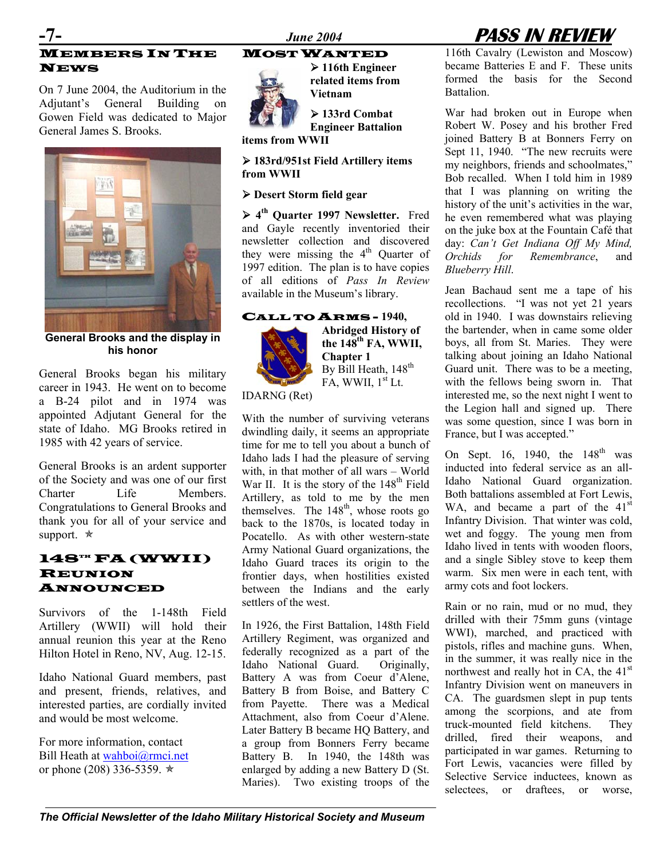## MEMBERS IN THE NEWS

On 7 June 2004, the Auditorium in the **Vietnam** Adjutant's General Building on Gowen Field was dedicated to Major General James S. Brooks.



**General Brooks and the display in his honor** 

General Brooks began his military career in 1943. He went on to become a B-24 pilot and in 1974 was appointed Adjutant General for the state of Idaho. MG Brooks retired in 1985 with 42 years of service.

General Brooks is an ardent supporter of the Society and was one of our first Charter Life Members. Congratulations to General Brooks and thank you for all of your service and support.  $\star$ 

## 148TH FA (WWII) REUNION ANNOUNCED

Survivors of the 1-148th Field Artillery (WWII) will hold their annual reunion this year at the Reno Hilton Hotel in Reno, NV, Aug. 12-15.

Idaho National Guard members, past and present, friends, relatives, and interested parties, are cordially invited and would be most welcome.

For more information, contact Bill Heath at [wahboi@rmci.net](mailto:wahboi@rmci.net) or phone (208) 336-5359.  $\star$ 

MOST WANTED ¾ **116th Engineer** 



**related items from** 

¾ **133rd Combat Engineer Battalion** 

**items from WWII** 

¾ **183rd/951st Field Artillery items from WWII** 

### ¾ **Desert Storm field gear**

¾ **4th Quarter 1997 Newsletter.** Fred and Gayle recently inventoried their newsletter collection and discovered they were missing the  $4<sup>th</sup>$  Quarter of 1997 edition. The plan is to have copies of all editions of *Pass In Review* available in the Museum's library.

### CALL TO ARMS - **1940,**



**Abridged History of**  the  $148^{\text{th}}$  FA, WWII, **Chapter 1**  By Bill Heath, 148<sup>th</sup>  $FA$ , WWII,  $1<sup>st</sup>$  Lt.

IDARNG (Ret)

Artille ry, as told to me by the men With the number of surviving veterans dwindling daily, it seems an appropriate time for me to tell you about a bunch of Idaho lads I had the pleasure of serving with, in that mother of all wars – World War II. It is the story of the  $148<sup>th</sup>$  Field themselves. The  $148<sup>th</sup>$ , whose roots go back to the 1870s, is located today in Pocatello. As with other western-state Army National Guard organizations, the Idaho Guard traces its origin to the frontier days, when hostilities existed between the Indians and the early settlers of the west.

In 1926, the First Battalion, 148th Field Artillery Regiment, was organized and federally recognized as a part of the Idaho National Guard. Originally, Battery A was from Coeur d'Alene, Battery B from Boise, and Battery C from Payette. There was a Medical Attachment, also from Coeur d'Alene. Later Battery B became HQ Battery, and a group from Bonners Ferry became Battery B. In 1940, the 148th was enlarged by adding a new Battery D (St. Maries). Two existing troops of the

## **-7-** *June 2004* **PASS IN REVIEW**

116th Cavalry (Lewiston and Moscow) became Batteries E and F. These units formed the basis for the Second Battalion.

War had broken out in Europe when Robert W. Posey and his brother Fred joined Battery B at Bonners Ferry on Sept 11, 1940. "The new recruits were my neighbors, friends and schoolmates," Bob recalled. When I told him in 1989 that I was planning on writing the history of the unit's activities in the war, he even remembered what was playing on the juke box at the Fountain Café that day: *Can't Get Indiana Off My Mind, Orchids for Remembrance*, and *Blueberry Hill*.

Jean Bachaud sent me a tape of his recollections. "I was not yet 21 years old in 1940. I was downstairs relieving the bartender, when in came some older boys, all from St. Maries. They were talking about joining an Idaho National Guard unit. There was to be a meeting, with the fellows being sworn in. That interested me, so the next night I went to the Legion hall and signed up. There was some question, since I was born in France, but I was accepted."

On Sept. 16, 1940, the  $148<sup>th</sup>$  was inducted into federal service as an all-Idaho National Guard organization. Both battalions assembled at Fort Lewis, WA, and became a part of the 41<sup>st</sup> Infantry Division. That winter was cold, wet and foggy. The young men from Idaho lived in tents with wooden floors, and a single Sibley stove to keep them warm. Six men were in each tent, with army cots and foot lockers.

Rain or no rain, mud or no mud, they drilled with their 75mm guns (vintage WWI), marched, and practiced with pistols, rifles and machine guns. When, in the summer, it was really nice in the northwest and really hot in CA, the 41<sup>st</sup> Infantry Division went on maneuvers in CA. The guardsmen slept in pup tents among the scorpions, and ate from truck-mounted field kitchens. They drilled, fired their weapons, and participated in war games. Returning to Fort Lewis, vacancies were filled by Selective Service inductees, known as selectees, or draftees, or worse,

*The Official Newsletter of the Idaho Military Historical Society and Museum*